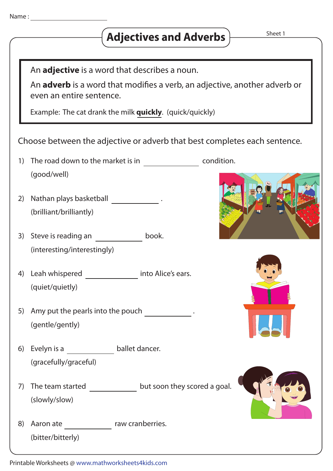| Name |  |  |
|------|--|--|
|      |  |  |

## **Adjectives and Adverbs**

Sheet 1

An **adjective** is a word that describes a noun.

An **adverb** is a word that modifies a verb, an adjective, another adverb or even an entire sentence.

Example: The cat drank the milk **quickly**. (quick/quickly)

| Choose between the adjective or adverb that best completes each sentence. |  |  |
|---------------------------------------------------------------------------|--|--|
|---------------------------------------------------------------------------|--|--|

- 1) The road down to the market is in condition. (good/well)
- 2) Nathan plays basketball **Nathan** . (brilliant/brilliantly)
- 3) Steve is reading an book. (interesting/interestingly)
- 4) Leah whispered into Alice's ears.(quiet/quietly)
- 5) Amy put the pearls into the pouch . (gentle/gently)
- (gracefully/graceful) 6) Evelyn is a ballet dancer.
- (slowly/slow) 7) The team started  $\frac{1}{\sqrt{1-\frac{1}{\sqrt{1-\frac{1}{\sqrt{1-\frac{1}{\sqrt{1-\frac{1}{\sqrt{1-\frac{1}{\sqrt{1-\frac{1}{\sqrt{1-\frac{1}{\sqrt{1-\frac{1}{\sqrt{1-\frac{1}{\sqrt{1-\frac{1}{\sqrt{1-\frac{1}{\sqrt{1-\frac{1}{\sqrt{1-\frac{1}{\sqrt{1-\frac{1}{\sqrt{1-\frac{1}{\sqrt{1-\frac{1}{\sqrt{1-\frac{1}{\sqrt{1-\frac{1}{\sqrt{1-\frac{1}{\sqrt{1-\frac{1}{\sqrt{1-\frac{1}{\sqrt{1-\frac$
- (bitter/bitterly) 8) Aaron ate raw cranberries.